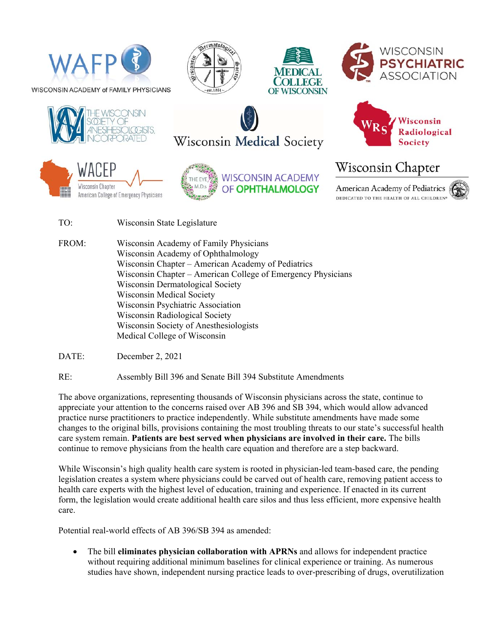

















## Wisconsin Chapter

**American Academy of Pediatrics** DEDICATED TO THE HEALTH OF ALL CHILDREN®

- TO: Wisconsin State Legislature
- FROM: Wisconsin Academy of Family Physicians Wisconsin Academy of Ophthalmology Wisconsin Chapter – American Academy of Pediatrics Wisconsin Chapter – American College of Emergency Physicians Wisconsin Dermatological Society Wisconsin Medical Society Wisconsin Psychiatric Association Wisconsin Radiological Society Wisconsin Society of Anesthesiologists Medical College of Wisconsin

DATE: December 2, 2021

RE: Assembly Bill 396 and Senate Bill 394 Substitute Amendments

The above organizations, representing thousands of Wisconsin physicians across the state, continue to appreciate your attention to the concerns raised over AB 396 and SB 394, which would allow advanced practice nurse practitioners to practice independently. While substitute amendments have made some changes to the original bills, provisions containing the most troubling threats to our state's successful health care system remain. **Patients are best served when physicians are involved in their care.** The bills continue to remove physicians from the health care equation and therefore are a step backward.

While Wisconsin's high quality health care system is rooted in physician-led team-based care, the pending legislation creates a system where physicians could be carved out of health care, removing patient access to health care experts with the highest level of education, training and experience. If enacted in its current form, the legislation would create additional health care silos and thus less efficient, more expensive health care.

Potential real-world effects of AB 396/SB 394 as amended:

 The bill **eliminates physician collaboration with APRNs** and allows for independent practice without requiring additional minimum baselines for clinical experience or training. As numerous studies have shown, independent nursing practice leads to over-prescribing of drugs, overutilization